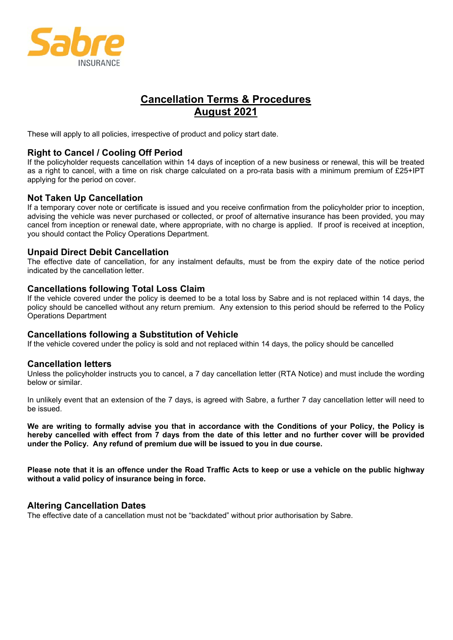

# **Cancellation Terms & Procedures August 2021**

These will apply to all policies, irrespective of product and policy start date.

## **Right to Cancel / Cooling Off Period**

If the policyholder requests cancellation within 14 days of inception of a new business or renewal, this will be treated as a right to cancel, with a time on risk charge calculated on a pro-rata basis with a minimum premium of £25+IPT applying for the period on cover.

## **Not Taken Up Cancellation**

If a temporary cover note or certificate is issued and you receive confirmation from the policyholder prior to inception, advising the vehicle was never purchased or collected, or proof of alternative insurance has been provided, you may cancel from inception or renewal date, where appropriate, with no charge is applied. If proof is received at inception, you should contact the Policy Operations Department.

## **Unpaid Direct Debit Cancellation**

The effective date of cancellation, for any instalment defaults, must be from the expiry date of the notice period indicated by the cancellation letter.

#### **Cancellations following Total Loss Claim**

If the vehicle covered under the policy is deemed to be a total loss by Sabre and is not replaced within 14 days, the policy should be cancelled without any return premium. Any extension to this period should be referred to the Policy Operations Department

#### **Cancellations following a Substitution of Vehicle**

If the vehicle covered under the policy is sold and not replaced within 14 days, the policy should be cancelled

#### **Cancellation letters**

Unless the policyholder instructs you to cancel, a 7 day cancellation letter (RTA Notice) and must include the wording below or similar.

In unlikely event that an extension of the 7 days, is agreed with Sabre, a further 7 day cancellation letter will need to be issued.

**We are writing to formally advise you that in accordance with the Conditions of your Policy, the Policy is hereby cancelled with effect from 7 days from the date of this letter and no further cover will be provided under the Policy. Any refund of premium due will be issued to you in due course.** 

**Please note that it is an offence under the Road Traffic Acts to keep or use a vehicle on the public highway without a valid policy of insurance being in force.** 

## **Altering Cancellation Dates**

The effective date of a cancellation must not be "backdated" without prior authorisation by Sabre.